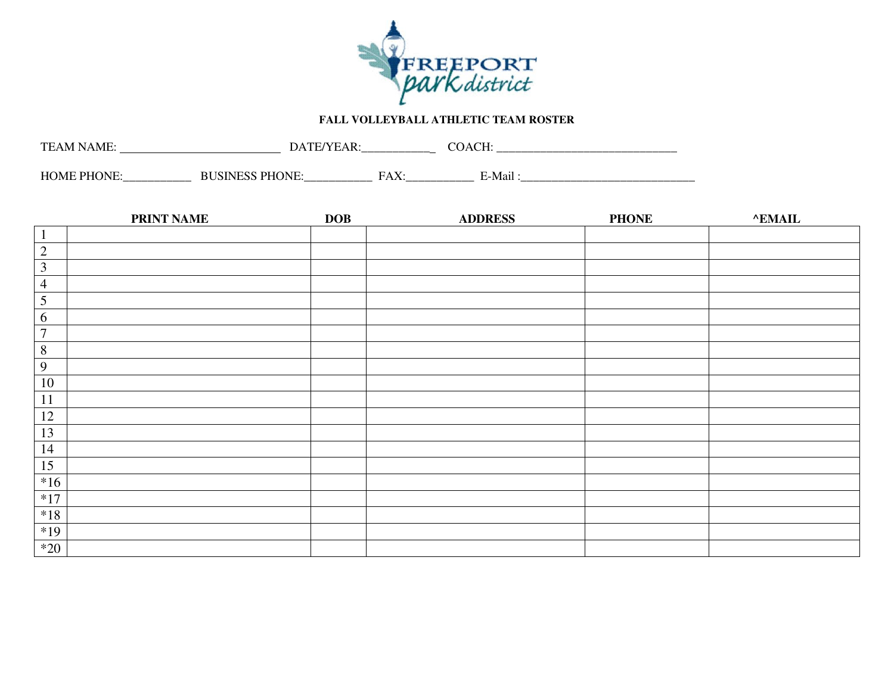

## **FALL VOLLEYBALL ATHLETIC TEAM ROSTER**

| TF<br>$\Delta$ M<br>IN A M<br>, | 1 A<br>້<br>"  | ____________  | $\mathbf{A}$<br>$\sim$ | _____________________________ |
|---------------------------------|----------------|---------------|------------------------|-------------------------------|
| НОМЕ<br>, שט<br>_____________   | ______________ | _____________ | - 14 -<br>. M 91.      |                               |

|                  | <b>PRINT NAME</b> | <b>DOB</b> | <b>ADDRESS</b> | <b>PHONE</b> | <b>^EMAIL</b> |
|------------------|-------------------|------------|----------------|--------------|---------------|
| $\mathbf{1}$     |                   |            |                |              |               |
| $\overline{2}$   |                   |            |                |              |               |
| $\mathfrak{Z}$   |                   |            |                |              |               |
| $\overline{4}$   |                   |            |                |              |               |
| $\sqrt{5}$       |                   |            |                |              |               |
| 6                |                   |            |                |              |               |
| $\boldsymbol{7}$ |                   |            |                |              |               |
| $\overline{8}$   |                   |            |                |              |               |
| $\overline{9}$   |                   |            |                |              |               |
| 10               |                   |            |                |              |               |
| 11               |                   |            |                |              |               |
| 12               |                   |            |                |              |               |
| 13               |                   |            |                |              |               |
| 14               |                   |            |                |              |               |
| 15               |                   |            |                |              |               |
| $*16$            |                   |            |                |              |               |
| $*17$            |                   |            |                |              |               |
| $*18$            |                   |            |                |              |               |
| $*19$            |                   |            |                |              |               |
| $*20$            |                   |            |                |              |               |